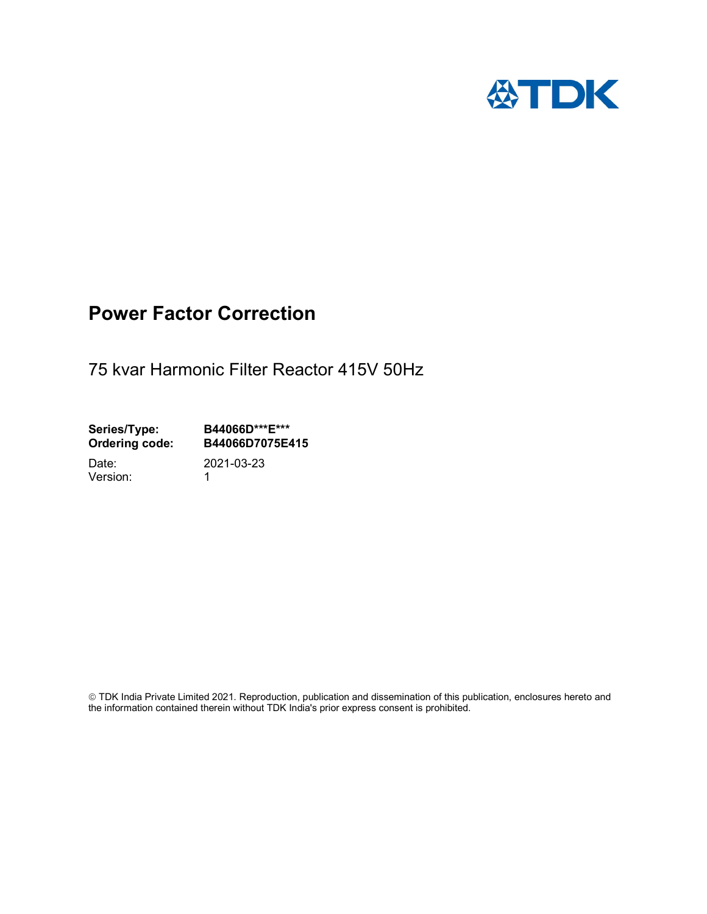

# Power Factor Correction

75 kvar Harmonic Filter Reactor 415V 50Hz

Series/Type: B44066D\*\*\*E\*\*\*<br>Ordering code: B44066D7075E4 B44066D7075E415

Version: 1

Date: 2021-03-23

 TDK India Private Limited 2021. Reproduction, publication and dissemination of this publication, enclosures hereto and the information contained therein without TDK India's prior express consent is prohibited.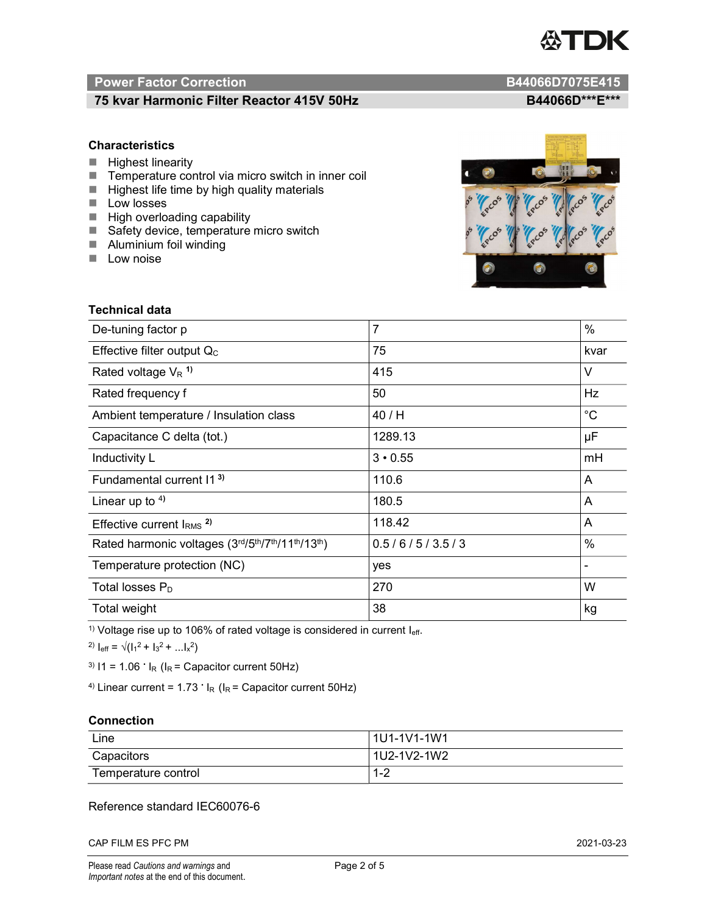

# Power Factor Correction and B44066D7075E415

# 75 kvar Harmonic Filter Reactor 415V 50Hz BA4066D\*\*\*E\*\*\*

# **Characteristics**

- $H$  Highest linearity
- Temperature control via micro switch in inner coil
- $\blacksquare$  Highest life time by high quality materials
- **Low losses**
- $\blacksquare$  High overloading capability
- Safety device, temperature micro switch
- **Aluminium foil winding**
- **Low noise**



| Technical data                                  |                |             |
|-------------------------------------------------|----------------|-------------|
| De-tuning factor p                              | $\overline{7}$ | $\%$        |
| Effective filter output $Q_C$                   | 75             | kvar        |
| Rated voltage $V_R$ <sup>1)</sup>               | 415            | V           |
| Rated frequency f                               | 50             | Hz          |
| Ambient temperature / Insulation class          | 40 / H         | $^{\circ}C$ |
| Capacitance C delta (tot.)                      | 1289.13        | μF          |
| Inductivity L                                   | $3 \cdot 0.55$ | mH          |
| Fundamental current 11 <sup>3)</sup>            | 110.6          | A           |
| Linear up to $4$ )                              | 180.5          | A           |
| Effective current $IRMS$ <sup>2)</sup>          | 118.42         | A           |
| Rated harmonic voltages (3rd/5th/7th/11th/13th) | 0.5/6/5/3.5/3  | %           |
| Temperature protection (NC)                     | yes            |             |
| Total losses $P_D$                              | 270            | W           |
| Total weight                                    | 38             | kg          |

<sup>1)</sup> Voltage rise up to 106% of rated voltage is considered in current  $I_{\text{eff}}$ .

<sup>2)</sup>  $I_{eff} = \sqrt{(I_1^2 + I_3^2 + ... I_x^2)}$ 

<sup>3)</sup>  $11 = 1.06$   $\cdot$   $I_R$  ( $I_R$  = Capacitor current 50Hz)

<sup>4)</sup> Linear current =  $1.73$   $\cdot$  I<sub>R</sub> (I<sub>R</sub> = Capacitor current 50Hz)

### **Connection**

| Line                | 1U1-1V1-1W1   |
|---------------------|---------------|
| Capacitors          | l 1U2-1V2-1W2 |
| Temperature control | 1 O<br>ے- ا   |

# Reference standard IEC60076-6

CAP FILM ES PFC PM 2021-03-23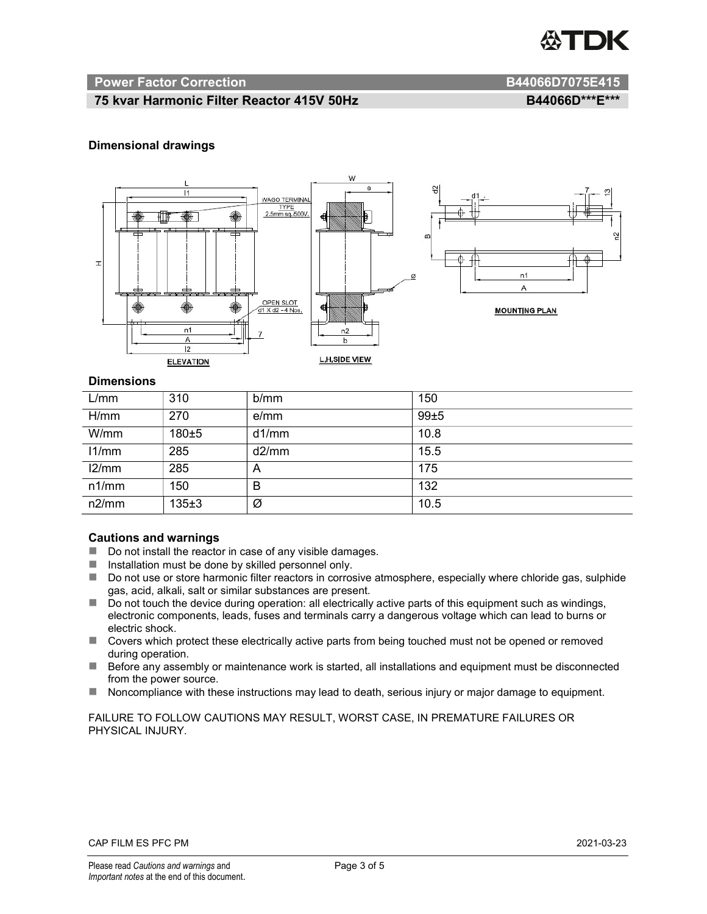

#### Power Factor Correction and B44066D7075E415

# 75 kvar Harmonic Filter Reactor 415V 50Hz B44066D\*\*\*E\*\*\*

### Dimensional drawings



#### **Dimensions**

| L/mm  | 310       | b/mm  | 150  |
|-------|-----------|-------|------|
| H/mm  | 270       | e/mm  | 99±5 |
| W/mm  | 180±5     | d1/mm | 10.8 |
| 11/mm | 285       | d2/mm | 15.5 |
| 12/mm | 285       | A     | 175  |
| n1/mm | 150       | B     | 132  |
| n2/mm | $135 + 3$ | Ø     | 10.5 |

#### Cautions and warnings

- Do not install the reactor in case of any visible damages.
- $\blacksquare$  Installation must be done by skilled personnel only.
- Do not use or store harmonic filter reactors in corrosive atmosphere, especially where chloride gas, sulphide gas, acid, alkali, salt or similar substances are present.
- Do not touch the device during operation: all electrically active parts of this equipment such as windings, electronic components, leads, fuses and terminals carry a dangerous voltage which can lead to burns or electric shock.
- Covers which protect these electrically active parts from being touched must not be opened or removed during operation.
- Before any assembly or maintenance work is started, all installations and equipment must be disconnected from the power source.
- Noncompliance with these instructions may lead to death, serious injury or major damage to equipment.

FAILURE TO FOLLOW CAUTIONS MAY RESULT, WORST CASE, IN PREMATURE FAILURES OR PHYSICAL INJURY.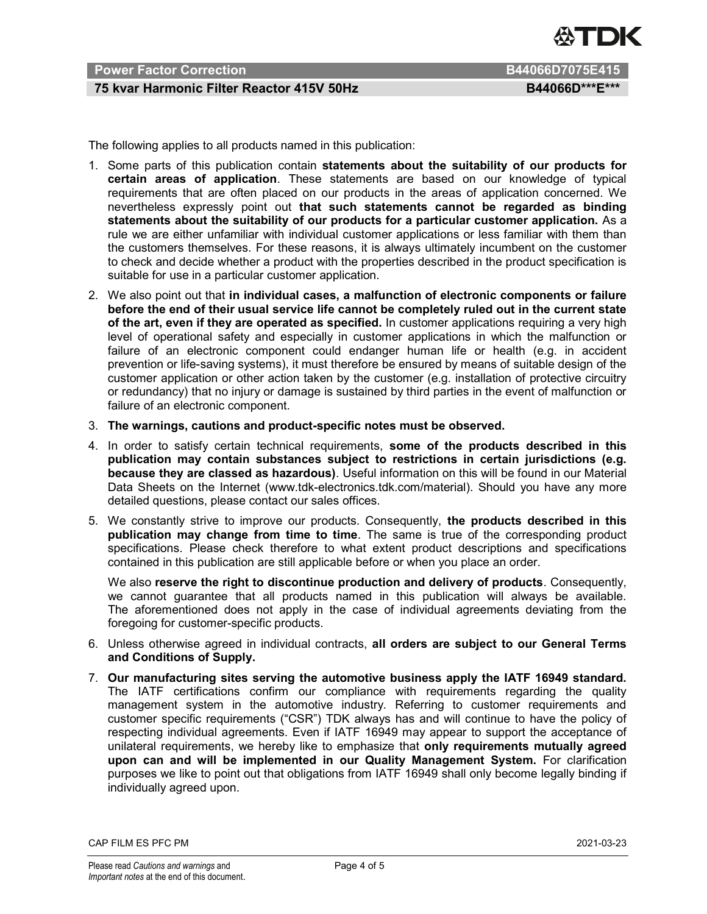

# Power Factor Correction **B44066D7075E415**

# 75 kvar Harmonic Filter Reactor 415V 50Hz BA4066D\*\*\*E\*\*\*

The following applies to all products named in this publication:

- 1. Some parts of this publication contain statements about the suitability of our products for certain areas of application. These statements are based on our knowledge of typical requirements that are often placed on our products in the areas of application concerned. We nevertheless expressly point out that such statements cannot be regarded as binding statements about the suitability of our products for a particular customer application. As a rule we are either unfamiliar with individual customer applications or less familiar with them than the customers themselves. For these reasons, it is always ultimately incumbent on the customer to check and decide whether a product with the properties described in the product specification is suitable for use in a particular customer application.
- 2. We also point out that in individual cases, a malfunction of electronic components or failure before the end of their usual service life cannot be completely ruled out in the current state of the art, even if they are operated as specified. In customer applications requiring a very high level of operational safety and especially in customer applications in which the malfunction or failure of an electronic component could endanger human life or health (e.g. in accident prevention or life-saving systems), it must therefore be ensured by means of suitable design of the customer application or other action taken by the customer (e.g. installation of protective circuitry or redundancy) that no injury or damage is sustained by third parties in the event of malfunction or failure of an electronic component.
- 3. The warnings, cautions and product-specific notes must be observed.
- 4. In order to satisfy certain technical requirements, some of the products described in this publication may contain substances subject to restrictions in certain jurisdictions (e.g. because they are classed as hazardous). Useful information on this will be found in our Material Data Sheets on the Internet (www.tdk-electronics.tdk.com/material). Should you have any more detailed questions, please contact our sales offices.
- 5. We constantly strive to improve our products. Consequently, the products described in this publication may change from time to time. The same is true of the corresponding product specifications. Please check therefore to what extent product descriptions and specifications contained in this publication are still applicable before or when you place an order.

We also reserve the right to discontinue production and delivery of products. Consequently, we cannot guarantee that all products named in this publication will always be available. The aforementioned does not apply in the case of individual agreements deviating from the foregoing for customer-specific products.

- 6. Unless otherwise agreed in individual contracts, all orders are subject to our General Terms and Conditions of Supply.
- 7. Our manufacturing sites serving the automotive business apply the IATF 16949 standard. The IATF certifications confirm our compliance with requirements regarding the quality management system in the automotive industry. Referring to customer requirements and customer specific requirements ("CSR") TDK always has and will continue to have the policy of respecting individual agreements. Even if IATF 16949 may appear to support the acceptance of unilateral requirements, we hereby like to emphasize that only requirements mutually agreed upon can and will be implemented in our Quality Management System. For clarification purposes we like to point out that obligations from IATF 16949 shall only become legally binding if individually agreed upon.